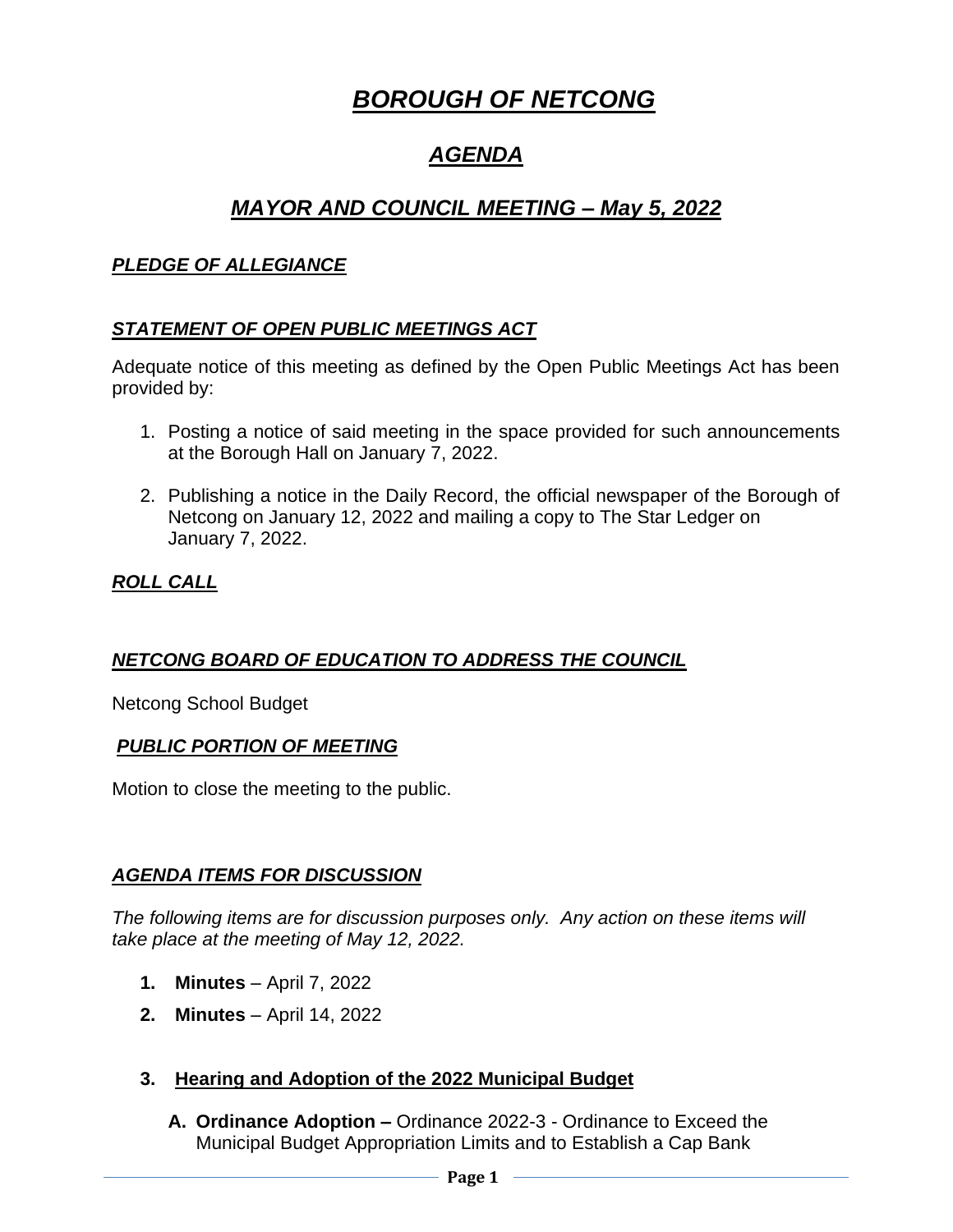# *BOROUGH OF NETCONG*

# *AGENDA*

# *MAYOR AND COUNCIL MEETING – May 5, 2022*

#### *PLEDGE OF ALLEGIANCE*

#### *STATEMENT OF OPEN PUBLIC MEETINGS ACT*

Adequate notice of this meeting as defined by the Open Public Meetings Act has been provided by:

- 1. Posting a notice of said meeting in the space provided for such announcements at the Borough Hall on January 7, 2022.
- 2. Publishing a notice in the Daily Record, the official newspaper of the Borough of Netcong on January 12, 2022 and mailing a copy to The Star Ledger on January 7, 2022.

### *ROLL CALL*

## *NETCONG BOARD OF EDUCATION TO ADDRESS THE COUNCIL*

Netcong School Budget

#### *PUBLIC PORTION OF MEETING*

Motion to close the meeting to the public.

#### *AGENDA ITEMS FOR DISCUSSION*

*The following items are for discussion purposes only. Any action on these items will take place at the meeting of May 12, 2022.*

- **1. Minutes** April 7, 2022
- **2. Minutes** April 14, 2022
- **3. Hearing and Adoption of the 2022 Municipal Budget**
	- **A. Ordinance Adoption –** Ordinance 2022-3 Ordinance to Exceed the Municipal Budget Appropriation Limits and to Establish a Cap Bank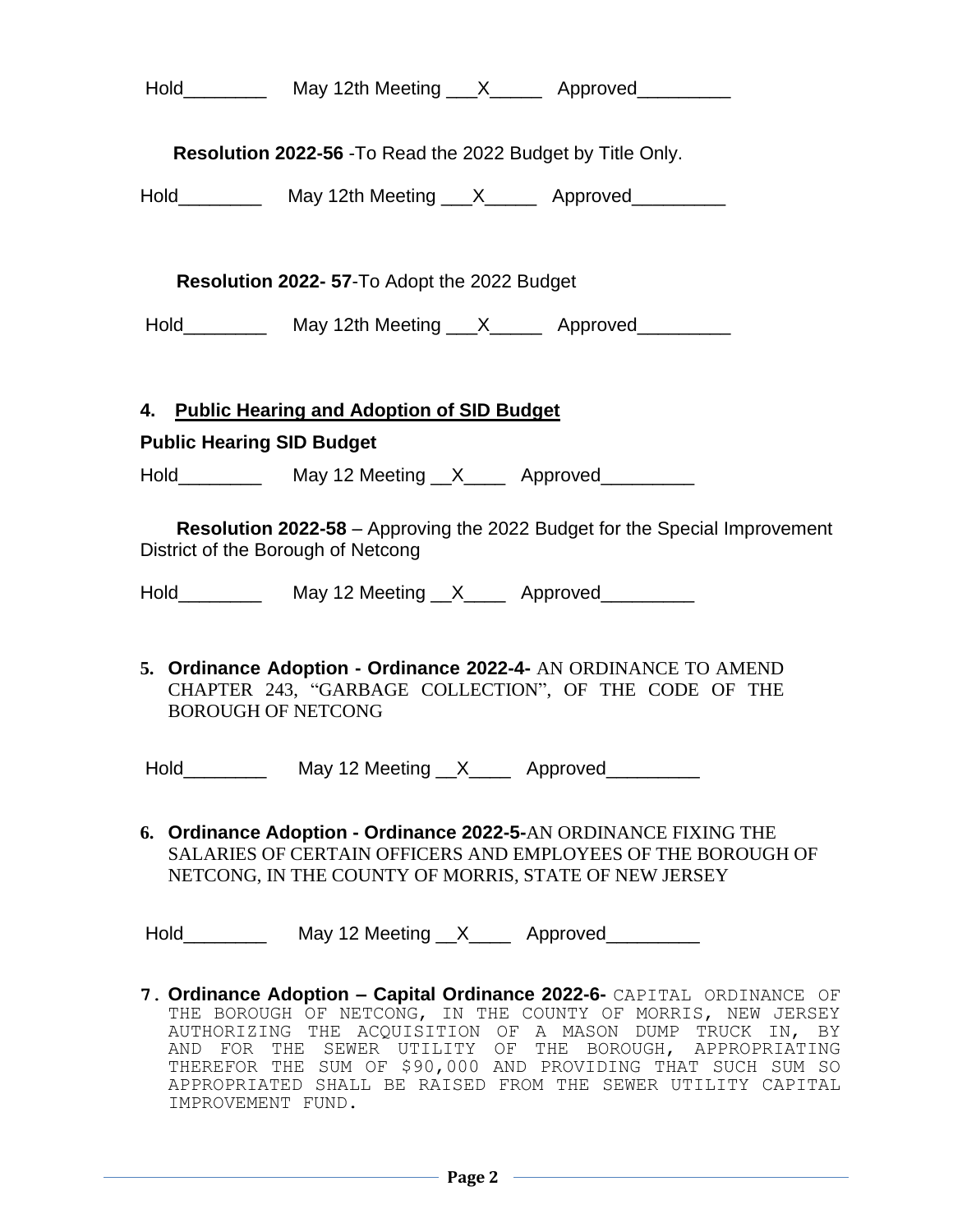|                                                                                                                                                       | <b>Resolution 2022-56 - To Read the 2022 Budget by Title Only.</b> |                                              |  |                                                                                                                                                                                                                                                                                                                                                                                         |    |  |  |  |  |
|-------------------------------------------------------------------------------------------------------------------------------------------------------|--------------------------------------------------------------------|----------------------------------------------|--|-----------------------------------------------------------------------------------------------------------------------------------------------------------------------------------------------------------------------------------------------------------------------------------------------------------------------------------------------------------------------------------------|----|--|--|--|--|
|                                                                                                                                                       |                                                                    |                                              |  |                                                                                                                                                                                                                                                                                                                                                                                         |    |  |  |  |  |
|                                                                                                                                                       | <b>Resolution 2022-57-To Adopt the 2022 Budget</b>                 |                                              |  |                                                                                                                                                                                                                                                                                                                                                                                         |    |  |  |  |  |
|                                                                                                                                                       |                                                                    |                                              |  |                                                                                                                                                                                                                                                                                                                                                                                         |    |  |  |  |  |
|                                                                                                                                                       |                                                                    | 4. Public Hearing and Adoption of SID Budget |  |                                                                                                                                                                                                                                                                                                                                                                                         |    |  |  |  |  |
| <b>Public Hearing SID Budget</b>                                                                                                                      |                                                                    |                                              |  |                                                                                                                                                                                                                                                                                                                                                                                         |    |  |  |  |  |
|                                                                                                                                                       |                                                                    |                                              |  |                                                                                                                                                                                                                                                                                                                                                                                         |    |  |  |  |  |
| <b>Resolution 2022-58</b> – Approving the 2022 Budget for the Special Improvement<br>District of the Borough of Netcong                               |                                                                    |                                              |  |                                                                                                                                                                                                                                                                                                                                                                                         |    |  |  |  |  |
| 5. Ordinance Adoption - Ordinance 2022-4- AN ORDINANCE TO AMEND<br>CHAPTER 243, "GARBAGE COLLECTION", OF THE CODE OF THE<br><b>BOROUGH OF NETCONG</b> |                                                                    |                                              |  |                                                                                                                                                                                                                                                                                                                                                                                         |    |  |  |  |  |
|                                                                                                                                                       | Hold                                                               | May 12 Meeting X Approved                    |  |                                                                                                                                                                                                                                                                                                                                                                                         |    |  |  |  |  |
|                                                                                                                                                       |                                                                    |                                              |  | 6. Ordinance Adoption - Ordinance 2022-5-AN ORDINANCE FIXING THE<br>SALARIES OF CERTAIN OFFICERS AND EMPLOYEES OF THE BOROUGH OF<br>NETCONG, IN THE COUNTY OF MORRIS, STATE OF NEW JERSEY                                                                                                                                                                                               |    |  |  |  |  |
|                                                                                                                                                       |                                                                    |                                              |  |                                                                                                                                                                                                                                                                                                                                                                                         |    |  |  |  |  |
|                                                                                                                                                       |                                                                    |                                              |  | 7. Ordinance Adoption - Capital Ordinance 2022-6- CAPITAL ORDINANCE OF<br>THE BOROUGH OF NETCONG, IN THE COUNTY OF MORRIS, NEW JERSEY<br>AUTHORIZING THE ACQUISITION OF A MASON DUMP TRUCK IN,<br>AND FOR THE SEWER UTILITY OF THE BOROUGH, APPROPRIATING<br>THEREFOR THE SUM OF \$90,000 AND PROVIDING THAT SUCH SUM SO<br>APPROPRIATED SHALL BE RAISED FROM THE SEWER UTILITY CAPITAL | ΒY |  |  |  |  |

IMPROVEMENT FUND.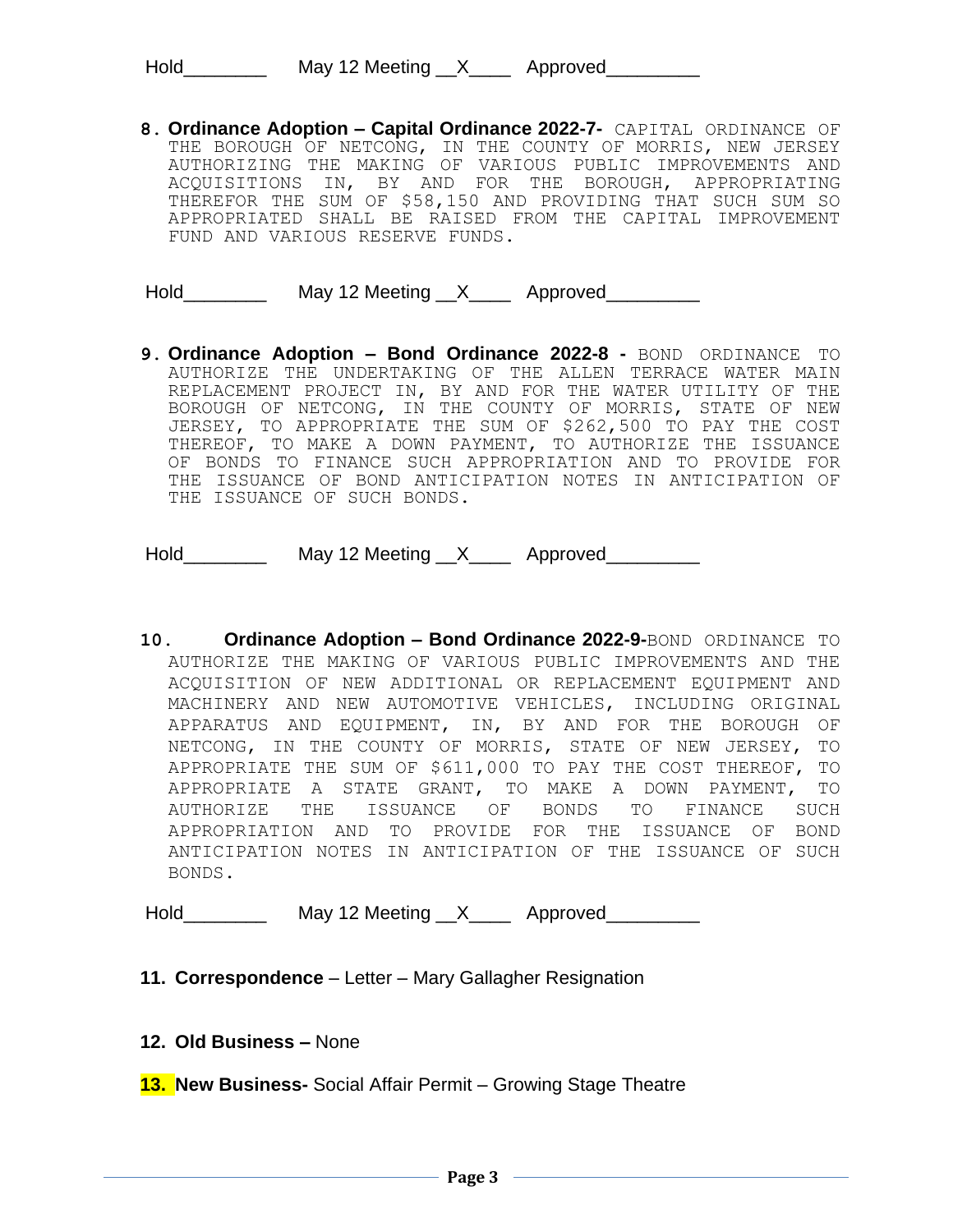| Hold | May 12 Meeting $_{\_}$ X $_{\_}$ | Approved |
|------|----------------------------------|----------|
|      |                                  |          |

**8. Ordinance Adoption – Capital Ordinance 2022-7-** CAPITAL ORDINANCE OF THE BOROUGH OF NETCONG, IN THE COUNTY OF MORRIS, NEW JERSEY AUTHORIZING THE MAKING OF VARIOUS PUBLIC IMPROVEMENTS AND ACQUISITIONS IN, BY AND FOR THE BOROUGH, APPROPRIATING THEREFOR THE SUM OF \$58,150 AND PROVIDING THAT SUCH SUM SO APPROPRIATED SHALL BE RAISED FROM THE CAPITAL IMPROVEMENT FUND AND VARIOUS RESERVE FUNDS.

Hold\_\_\_\_\_\_\_\_\_\_\_\_ May 12 Meeting \_\_X\_\_\_\_\_ Approved\_\_\_\_\_\_\_\_\_

**9. Ordinance Adoption – Bond Ordinance 2022-8 -** BOND ORDINANCE TO AUTHORIZE THE UNDERTAKING OF THE ALLEN TERRACE WATER MAIN REPLACEMENT PROJECT IN, BY AND FOR THE WATER UTILITY OF THE BOROUGH OF NETCONG, IN THE COUNTY OF MORRIS, STATE OF NEW JERSEY, TO APPROPRIATE THE SUM OF \$262,500 TO PAY THE COST THEREOF, TO MAKE A DOWN PAYMENT, TO AUTHORIZE THE ISSUANCE OF BONDS TO FINANCE SUCH APPROPRIATION AND TO PROVIDE FOR THE ISSUANCE OF BOND ANTICIPATION NOTES IN ANTICIPATION OF THE ISSUANCE OF SUCH BONDS.

Hold\_\_\_\_\_\_\_\_\_\_\_ May 12 Meeting \_\_X\_\_\_\_ Approved\_\_\_\_\_\_\_\_\_

**10. Ordinance Adoption – Bond Ordinance 2022-9-**BOND ORDINANCE TO AUTHORIZE THE MAKING OF VARIOUS PUBLIC IMPROVEMENTS AND THE ACQUISITION OF NEW ADDITIONAL OR REPLACEMENT EQUIPMENT AND MACHINERY AND NEW AUTOMOTIVE VEHICLES, INCLUDING ORIGINAL APPARATUS AND EQUIPMENT, IN, BY AND FOR THE BOROUGH OF NETCONG, IN THE COUNTY OF MORRIS, STATE OF NEW JERSEY, TO APPROPRIATE THE SUM OF \$611,000 TO PAY THE COST THEREOF, TO APPROPRIATE A STATE GRANT, TO MAKE A DOWN PAYMENT, TO AUTHORIZE THE ISSUANCE OF BONDS TO FINANCE SUCH APPROPRIATION AND TO PROVIDE FOR THE ISSUANCE OF BOND ANTICIPATION NOTES IN ANTICIPATION OF THE ISSUANCE OF SUCH BONDS.

Hold\_\_\_\_\_\_\_\_\_\_\_\_ May 12 Meeting \_\_X\_\_\_\_\_ Approved\_\_\_\_\_\_\_\_\_

- **11. Correspondence** Letter Mary Gallagher Resignation
- **12. Old Business –** None
- **13. New Business-** Social Affair Permit Growing Stage Theatre